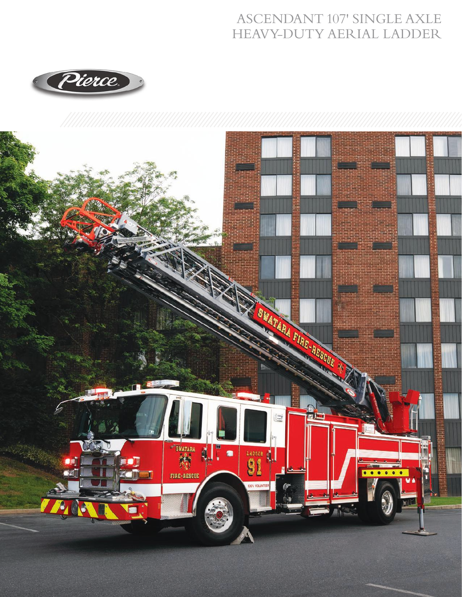## **ASCENDANT 107' SINGLE AXLE** HEAVY-DUTY AERIAL LADDER